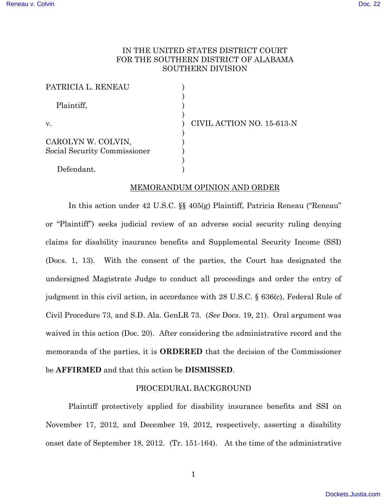# IN THE UNITED STATES DISTRICT COURT FOR THE SOUTHERN DISTRICT OF ALABAMA SOUTHERN DIVISION

| PATRICIA L. RENEAU           |                           |
|------------------------------|---------------------------|
| Plaintiff,                   |                           |
| V.                           | CIVIL ACTION NO. 15-613-N |
| CAROLYN W. COLVIN,           |                           |
| Social Security Commissioner |                           |
|                              |                           |
| Defendant.                   |                           |

## MEMORANDUM OPINION AND ORDER

In this action under 42 U.S.C. §§ 405(g) Plaintiff, Patricia Reneau ("Reneau" or "Plaintiff") seeks judicial review of an adverse social security ruling denying claims for disability insurance benefits and Supplemental Security Income (SSI) (Docs. 1, 13). With the consent of the parties, the Court has designated the undersigned Magistrate Judge to conduct all proceedings and order the entry of judgment in this civil action, in accordance with 28 U.S.C. § 636(c), Federal Rule of Civil Procedure 73, and S.D. Ala. GenLR 73. (*See* Docs. 19, 21). Oral argument was waived in this action (Doc. 20). After considering the administrative record and the memoranda of the parties, it is **ORDERED** that the decision of the Commissioner be **AFFIRMED** and that this action be **DISMISSED**.

## PROCEDURAL BACKGROUND

Plaintiff protectively applied for disability insurance benefits and SSI on November 17, 2012, and December 19, 2012, respectively, asserting a disability onset date of September 18, 2012. (Tr. 151-164). At the time of the administrative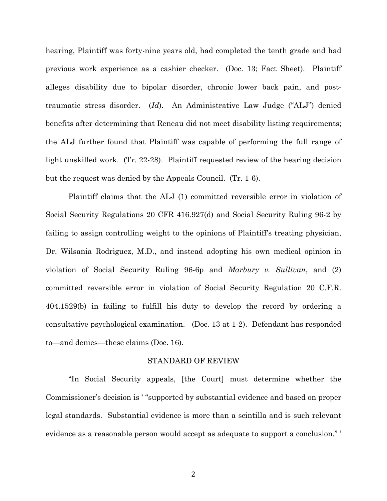hearing, Plaintiff was forty-nine years old, had completed the tenth grade and had previous work experience as a cashier checker. (Doc. 13; Fact Sheet). Plaintiff alleges disability due to bipolar disorder, chronic lower back pain, and posttraumatic stress disorder. (*Id*). An Administrative Law Judge ("ALJ") denied benefits after determining that Reneau did not meet disability listing requirements; the ALJ further found that Plaintiff was capable of performing the full range of light unskilled work. (Tr. 22-28). Plaintiff requested review of the hearing decision but the request was denied by the Appeals Council. (Tr. 1-6).

Plaintiff claims that the ALJ (1) committed reversible error in violation of Social Security Regulations 20 CFR 416.927(d) and Social Security Ruling 96-2 by failing to assign controlling weight to the opinions of Plaintiff's treating physician, Dr. Wilsania Rodriguez, M.D., and instead adopting his own medical opinion in violation of Social Security Ruling 96-6p and *Marbury v. Sullivan*, and (2) committed reversible error in violation of Social Security Regulation 20 C.F.R. 404.1529(b) in failing to fulfill his duty to develop the record by ordering a consultative psychological examination. (Doc. 13 at 1-2). Defendant has responded to—and denies—these claims (Doc. 16).

### STANDARD OF REVIEW

"In Social Security appeals, [the Court] must determine whether the Commissioner's decision is ' "supported by substantial evidence and based on proper legal standards. Substantial evidence is more than a scintilla and is such relevant evidence as a reasonable person would accept as adequate to support a conclusion." '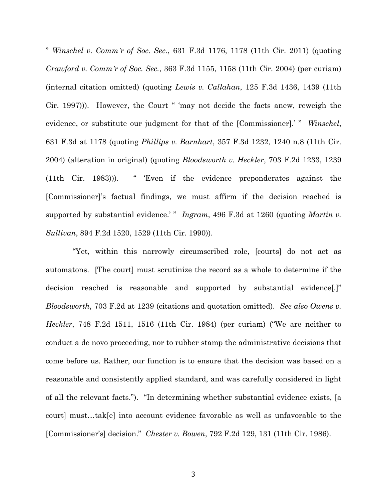" *Winschel v. Comm'r of Soc. Sec.*, 631 F.3d 1176, 1178 (11th Cir. 2011) (quoting *Crawford v. Comm'r of Soc. Sec.*, 363 F.3d 1155, 1158 (11th Cir. 2004) (per curiam) (internal citation omitted) (quoting *Lewis v. Callahan*, 125 F.3d 1436, 1439 (11th Cir. 1997))). However, the Court " 'may not decide the facts anew, reweigh the evidence, or substitute our judgment for that of the [Commissioner].' " *Winschel*, 631 F.3d at 1178 (quoting *Phillips v. Barnhart*, 357 F.3d 1232, 1240 n.8 (11th Cir. 2004) (alteration in original) (quoting *Bloodsworth v. Heckler*, 703 F.2d 1233, 1239 (11th Cir. 1983))). " 'Even if the evidence preponderates against the [Commissioner]'s factual findings, we must affirm if the decision reached is supported by substantial evidence.' " *Ingram*, 496 F.3d at 1260 (quoting *Martin v. Sullivan*, 894 F.2d 1520, 1529 (11th Cir. 1990)).

 "Yet, within this narrowly circumscribed role, [courts] do not act as automatons. [The court] must scrutinize the record as a whole to determine if the decision reached is reasonable and supported by substantial evidence[.]" *Bloodsworth*, 703 F.2d at 1239 (citations and quotation omitted). *See also Owens v. Heckler*, 748 F.2d 1511, 1516 (11th Cir. 1984) (per curiam) ("We are neither to conduct a de novo proceeding, nor to rubber stamp the administrative decisions that come before us. Rather, our function is to ensure that the decision was based on a reasonable and consistently applied standard, and was carefully considered in light of all the relevant facts."). "In determining whether substantial evidence exists, [a court] must…tak[e] into account evidence favorable as well as unfavorable to the [Commissioner's] decision." *Chester v. Bowen*, 792 F.2d 129, 131 (11th Cir. 1986).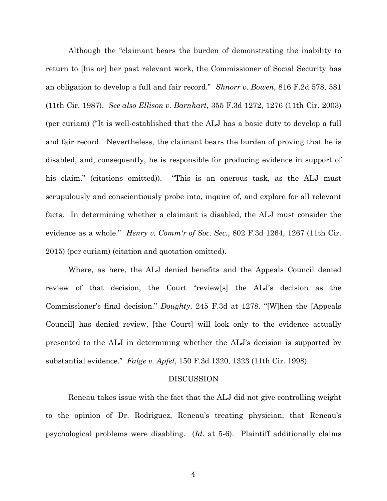Although the "claimant bears the burden of demonstrating the inability to return to [his or] her past relevant work, the Commissioner of Social Security has an obligation to develop a full and fair record." *Shnorr v. Bowen*, 816 F.2d 578, 581 (11th Cir. 1987). *See also Ellison v. Barnhart*, 355 F.3d 1272, 1276 (11th Cir. 2003) (per curiam) ("It is well-established that the ALJ has a basic duty to develop a full and fair record. Nevertheless, the claimant bears the burden of proving that he is disabled, and, consequently, he is responsible for producing evidence in support of his claim." (citations omitted)). "This is an onerous task, as the ALJ must scrupulously and conscientiously probe into, inquire of, and explore for all relevant facts. In determining whether a claimant is disabled, the ALJ must consider the evidence as a whole." *Henry v. Comm'r of Soc. Sec.*, 802 F.3d 1264, 1267 (11th Cir. 2015) (per curiam) (citation and quotation omitted).

Where, as here, the ALJ denied benefits and the Appeals Council denied review of that decision, the Court "review[s] the ALJ's decision as the Commissioner's final decision." *Doughty*, 245 F.3d at 1278. "[W]hen the [Appeals Council] has denied review, [the Court] will look only to the evidence actually presented to the ALJ in determining whether the ALJ's decision is supported by substantial evidence." *Falge v. Apfel*, 150 F.3d 1320, 1323 (11th Cir. 1998).

#### DISCUSSION

Reneau takes issue with the fact that the ALJ did not give controlling weight to the opinion of Dr. Rodriguez, Reneau's treating physician, that Reneau's psychological problems were disabling. (*Id*. at 5-6). Plaintiff additionally claims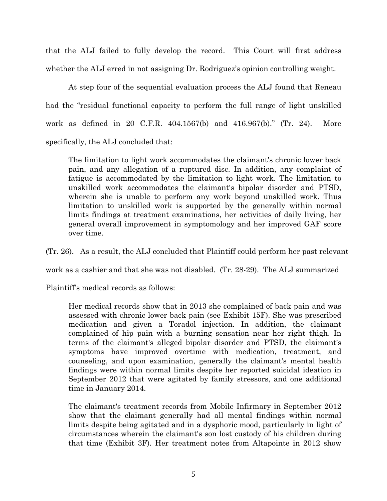that the ALJ failed to fully develop the record. This Court will first address whether the ALJ erred in not assigning Dr. Rodriguez's opinion controlling weight.

At step four of the sequential evaluation process the ALJ found that Reneau had the "residual functional capacity to perform the full range of light unskilled work as defined in 20 C.F.R. 404.1567(b) and 416.967(b)." (Tr. 24). More specifically, the ALJ concluded that:

The limitation to light work accommodates the claimant's chronic lower back pain, and any allegation of a ruptured disc. In addition, any complaint of fatigue is accommodated by the limitation to light work. The limitation to unskilled work accommodates the claimant's bipolar disorder and PTSD, wherein she is unable to perform any work beyond unskilled work. Thus limitation to unskilled work is supported by the generally within normal limits findings at treatment examinations, her activities of daily living, her general overall improvement in symptomology and her improved GAF score over time.

(Tr. 26). As a result, the ALJ concluded that Plaintiff could perform her past relevant

work as a cashier and that she was not disabled. (Tr. 28-29). The ALJ summarized

Plaintiff's medical records as follows:

Her medical records show that in 2013 she complained of back pain and was assessed with chronic lower back pain (see Exhibit 15F). She was prescribed medication and given a Toradol injection. In addition, the claimant complained of hip pain with a burning sensation near her right thigh. In terms of the claimant's alleged bipolar disorder and PTSD, the claimant's symptoms have improved overtime with medication, treatment, and counseling, and upon examination, generally the claimant's mental health findings were within normal limits despite her reported suicidal ideation in September 2012 that were agitated by family stressors, and one additional time in January 2014.

The claimant's treatment records from Mobile Infirmary in September 2012 show that the claimant generally had all mental findings within normal limits despite being agitated and in a dysphoric mood, particularly in light of circumstances wherein the claimant's son lost custody of his children during that time (Exhibit 3F). Her treatment notes from Altapointe in 2012 show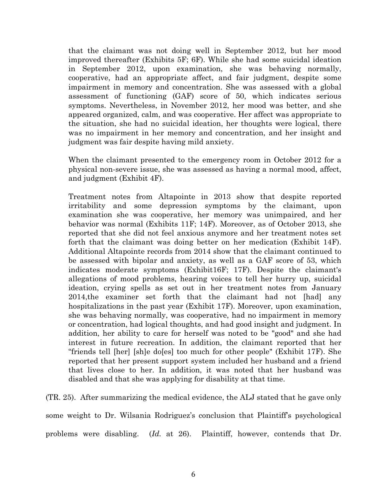that the claimant was not doing well in September 2012, but her mood improved thereafter (Exhibits 5F; 6F). While she had some suicidal ideation in September 2012, upon examination, she was behaving normally, cooperative, had an appropriate affect, and fair judgment, despite some impairment in memory and concentration. She was assessed with a global assessment of functioning (GAF) score of 50, which indicates serious symptoms. Nevertheless, in November 2012, her mood was better, and she appeared organized, calm, and was cooperative. Her affect was appropriate to the situation, she had no suicidal ideation, her thoughts were logical, there was no impairment in her memory and concentration, and her insight and judgment was fair despite having mild anxiety.

When the claimant presented to the emergency room in October 2012 for a physical non-severe issue, she was assessed as having a normal mood, affect, and judgment (Exhibit 4F).

Treatment notes from Altapointe in 2013 show that despite reported irritability and some depression symptoms by the claimant, upon examination she was cooperative, her memory was unimpaired, and her behavior was normal (Exhibits 11F; 14F). Moreover, as of October 2013, she reported that she did not feel anxious anymore and her treatment notes set forth that the claimant was doing better on her medication (Exhibit 14F). Additional Altapointe records from 2014 show that the claimant continued to be assessed with bipolar and anxiety, as well as a GAF score of 53, which indicates moderate symptoms (Exhibit16F; 17F). Despite the claimant's allegations of mood problems, hearing voices to tell her hurry up, suicidal ideation, crying spells as set out in her treatment notes from January 2014,the examiner set forth that the claimant had not [had] any hospitalizations in the past year (Exhibit 17F). Moreover, upon examination, she was behaving normally, was cooperative, had no impairment in memory or concentration, had logical thoughts, and had good insight and judgment. In addition, her ability to care for herself was noted to be "good" and she had interest in future recreation. In addition, the claimant reported that her "friends tell [her] [sh]e do[es] too much for other people" (Exhibit 17F). She reported that her present support system included her husband and a friend that lives close to her. In addition, it was noted that her husband was disabled and that she was applying for disability at that time.

(TR. 25). After summarizing the medical evidence, the ALJ stated that he gave only some weight to Dr. Wilsania Rodriguez's conclusion that Plaintiff's psychological problems were disabling. (*Id.* at 26). Plaintiff, however, contends that Dr.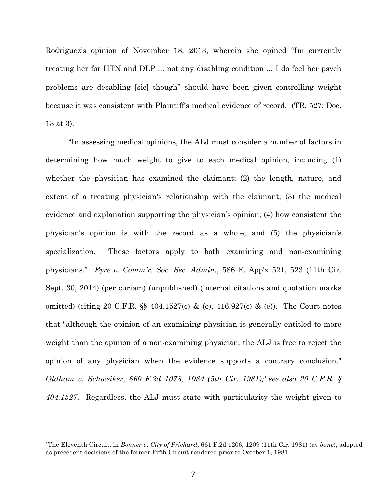Rodriguez's opinion of November 18, 2013, wherein she opined "Im currently treating her for HTN and DLP ... not any disabling condition ... I do feel her psych problems are desabling [sic] though" should have been given controlling weight because it was consistent with Plaintiff's medical evidence of record. (TR. 527; Doc. 13 at 3).

"In assessing medical opinions, the ALJ must consider a number of factors in determining how much weight to give to each medical opinion, including (1) whether the physician has examined the claimant; (2) the length, nature, and extent of a treating physician's relationship with the claimant; (3) the medical evidence and explanation supporting the physician's opinion; (4) how consistent the physician's opinion is with the record as a whole; and (5) the physician's specialization. These factors apply to both examining and non-examining physicians." *Eyre v. Comm'r, Soc. Sec. Admin.*, 586 F. App'x 521, 523 (11th Cir. Sept. 30, 2014) (per curiam) (unpublished) (internal citations and quotation marks omitted) (citing 20 C.F.R. §§ 404.1527(c) & (e), 416.927(c) & (e)). The Court notes that "although the opinion of an examining physician is generally entitled to more weight than the opinion of a non-examining physician, the ALJ is free to reject the opinion of any physician when the evidence supports a contrary conclusion." *Oldham v. Schweiker, 660 F.2d 1078, 1084 (5th Cir. 1981);1 see also 20 C.F.R. § 404.1527*. Regardless, the ALJ must state with particularity the weight given to

<sup>1</sup>The Eleventh Circuit, in *Bonner v. City of Prichard*, 661 F.2d 1206, 1209 (11th Cir. 1981) (*en banc*), adopted as precedent decisions of the former Fifth Circuit rendered prior to October 1, 1981.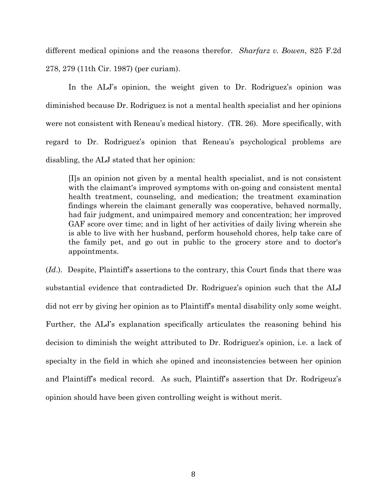different medical opinions and the reasons therefor. *Sharfarz v. Bowen*, 825 F.2d 278, 279 (11th Cir. 1987) (per curiam).

In the ALJ's opinion, the weight given to Dr. Rodriguez's opinion was diminished because Dr. Rodriguez is not a mental health specialist and her opinions were not consistent with Reneau's medical history. (TR. 26). More specifically, with regard to Dr. Rodriguez's opinion that Reneau's psychological problems are disabling, the ALJ stated that her opinion:

[I]s an opinion not given by a mental health specialist, and is not consistent with the claimant's improved symptoms with on-going and consistent mental health treatment, counseling, and medication; the treatment examination findings wherein the claimant generally was cooperative, behaved normally, had fair judgment, and unimpaired memory and concentration; her improved GAF score over time; and in light of her activities of daily living wherein she is able to live with her husband, perform household chores, help take care of the family pet, and go out in public to the grocery store and to doctor's appointments.

(*Id*.). Despite, Plaintiff's assertions to the contrary, this Court finds that there was substantial evidence that contradicted Dr. Rodriguez's opinion such that the ALJ did not err by giving her opinion as to Plaintiff's mental disability only some weight. Further, the ALJ's explanation specifically articulates the reasoning behind his decision to diminish the weight attributed to Dr. Rodriguez's opinion, i.e. a lack of specialty in the field in which she opined and inconsistencies between her opinion and Plaintiff's medical record. As such, Plaintiff's assertion that Dr. Rodrigeuz's opinion should have been given controlling weight is without merit.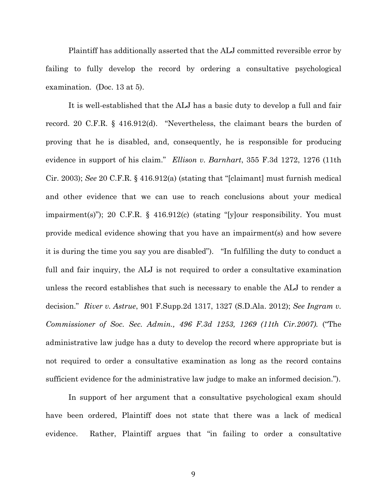Plaintiff has additionally asserted that the ALJ committed reversible error by failing to fully develop the record by ordering a consultative psychological examination. (Doc. 13 at 5).

It is well-established that the ALJ has a basic duty to develop a full and fair record. 20 C.F.R. § 416.912(d). "Nevertheless, the claimant bears the burden of proving that he is disabled, and, consequently, he is responsible for producing evidence in support of his claim." *Ellison v. Barnhart*, 355 F.3d 1272, 1276 (11th Cir. 2003); *See* 20 C.F.R. § 416.912(a) (stating that "[claimant] must furnish medical and other evidence that we can use to reach conclusions about your medical impairment(s)"); 20 C.F.R. § 416.912(c) (stating "[y]our responsibility. You must provide medical evidence showing that you have an impairment(s) and how severe it is during the time you say you are disabled"). "In fulfilling the duty to conduct a full and fair inquiry, the ALJ is not required to order a consultative examination unless the record establishes that such is necessary to enable the ALJ to render a decision." *River v. Astrue*, 901 F.Supp.2d 1317, 1327 (S.D.Ala. 2012); *See Ingram v. Commissioner of Soc. Sec. Admin., 496 F.3d 1253, 1269 (11th Cir.2007).* ("The administrative law judge has a duty to develop the record where appropriate but is not required to order a consultative examination as long as the record contains sufficient evidence for the administrative law judge to make an informed decision.").

In support of her argument that a consultative psychological exam should have been ordered, Plaintiff does not state that there was a lack of medical evidence. Rather, Plaintiff argues that "in failing to order a consultative